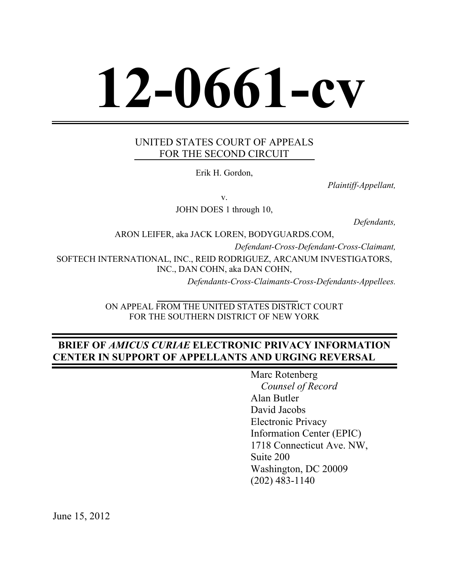# **12-0661-cv**

# UNITED STATES COURT OF APPEALS FOR THE SECOND CIRCUIT

Erik H. Gordon,

*Plaintiff-Appellant,*

v.

JOHN DOES 1 through 10,

*Defendants,*

ARON LEIFER, aka JACK LOREN, BODYGUARDS.COM, *Defendant-Cross-Defendant-Cross-Claimant,* SOFTECH INTERNATIONAL, INC., REID RODRIGUEZ, ARCANUM INVESTIGATORS, INC., DAN COHN, aka DAN COHN, *Defendants-Cross-Claimants-Cross-Defendants-Appellees.*

ON APPEAL FROM THE UNITED STATES DISTRICT COURT FOR THE SOUTHERN DISTRICT OF NEW YORK

# **BRIEF OF** *AMICUS CURIAE* **ELECTRONIC PRIVACY INFORMATION CENTER IN SUPPORT OF APPELLANTS AND URGING REVERSAL**

Marc Rotenberg *Counsel of Record* Alan Butler David Jacobs Electronic Privacy Information Center (EPIC) 1718 Connecticut Ave. NW, Suite 200 Washington, DC 20009 (202) 483-1140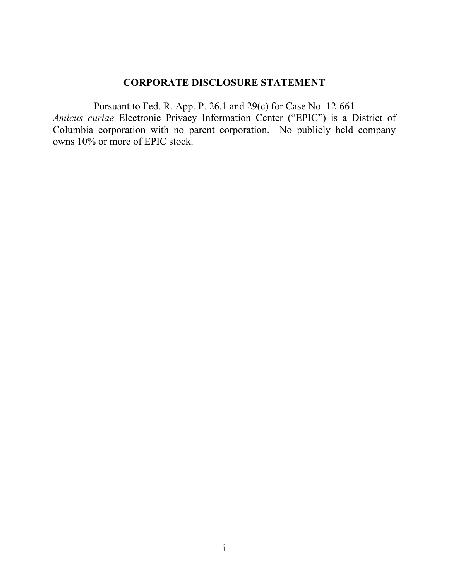# **CORPORATE DISCLOSURE STATEMENT**

Pursuant to Fed. R. App. P. 26.1 and 29(c) for Case No. 12-661 *Amicus curiae* Electronic Privacy Information Center ("EPIC") is a District of Columbia corporation with no parent corporation. No publicly held company owns 10% or more of EPIC stock.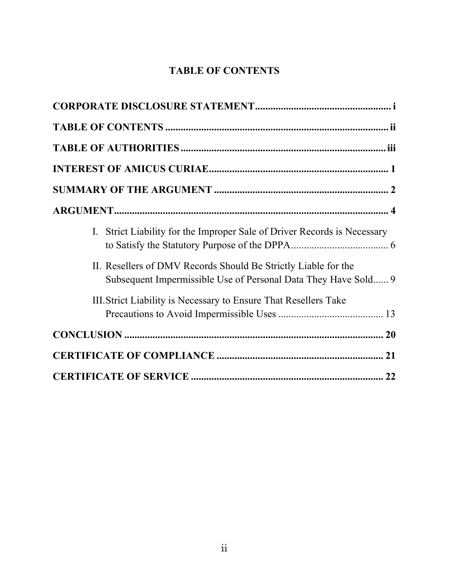# **TABLE OF CONTENTS**

| I. Strict Liability for the Improper Sale of Driver Records is Necessary                                                       |  |
|--------------------------------------------------------------------------------------------------------------------------------|--|
| II. Resellers of DMV Records Should Be Strictly Liable for the<br>Subsequent Impermissible Use of Personal Data They Have Sold |  |
| III. Strict Liability is Necessary to Ensure That Resellers Take                                                               |  |
|                                                                                                                                |  |
|                                                                                                                                |  |
|                                                                                                                                |  |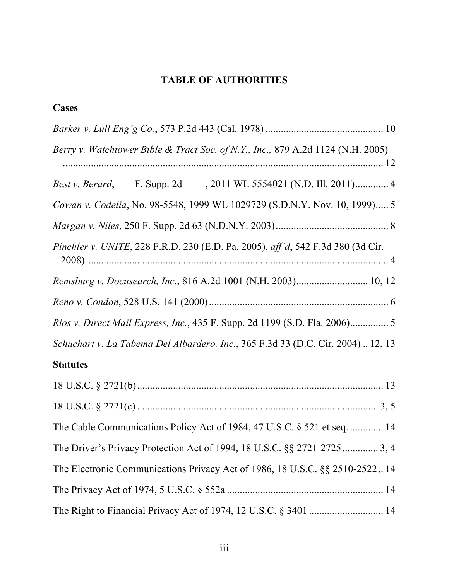# **TABLE OF AUTHORITIES**

| <b>Cases</b>                                                                     |
|----------------------------------------------------------------------------------|
|                                                                                  |
| Berry v. Watchtower Bible & Tract Soc. of N.Y., Inc., 879 A.2d 1124 (N.H. 2005)  |
| Best v. Berard, F. Supp. 2d 10.2011 WL 5554021 (N.D. Ill. 2011) 4                |
| Cowan v. Codelia, No. 98-5548, 1999 WL 1029729 (S.D.N.Y. Nov. 10, 1999) 5        |
|                                                                                  |
| Pinchler v. UNITE, 228 F.R.D. 230 (E.D. Pa. 2005), aff'd, 542 F.3d 380 (3d Cir.  |
| Remsburg v. Docusearch, Inc., 816 A.2d 1001 (N.H. 2003) 10, 12                   |
|                                                                                  |
|                                                                                  |
| Schuchart v. La Tabema Del Albardero, Inc., 365 F.3d 33 (D.C. Cir. 2004)  12, 13 |
| <b>Statutes</b>                                                                  |
|                                                                                  |
|                                                                                  |
| The Cable Communications Policy Act of 1984, 47 U.S.C. § 521 et seq.  14         |
|                                                                                  |
| The Electronic Communications Privacy Act of 1986, 18 U.S.C. §§ 2510-252214      |
|                                                                                  |
|                                                                                  |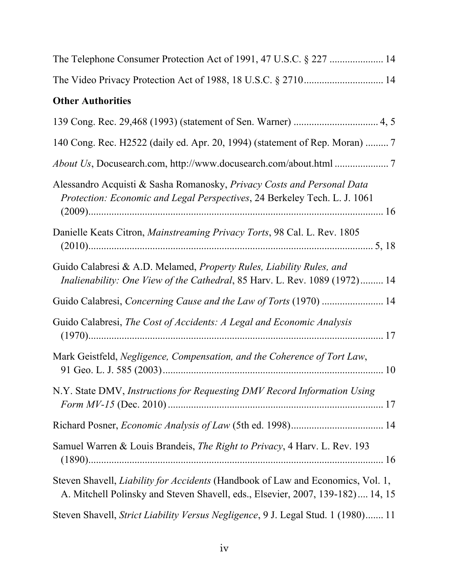| The Video Privacy Protection Act of 1988, 18 U.S.C. § 2710 14                                                                                                            |
|--------------------------------------------------------------------------------------------------------------------------------------------------------------------------|
| <b>Other Authorities</b>                                                                                                                                                 |
|                                                                                                                                                                          |
| 140 Cong. Rec. H2522 (daily ed. Apr. 20, 1994) (statement of Rep. Moran)  7                                                                                              |
|                                                                                                                                                                          |
| Alessandro Acquisti & Sasha Romanosky, Privacy Costs and Personal Data<br>Protection: Economic and Legal Perspectives, 24 Berkeley Tech. L. J. 1061                      |
| Danielle Keats Citron, Mainstreaming Privacy Torts, 98 Cal. L. Rev. 1805                                                                                                 |
| Guido Calabresi & A.D. Melamed, Property Rules, Liability Rules, and<br>Inalienability: One View of the Cathedral, 85 Harv. L. Rev. 1089 (1972) 14                       |
| Guido Calabresi, Concerning Cause and the Law of Torts (1970)  14                                                                                                        |
| Guido Calabresi, The Cost of Accidents: A Legal and Economic Analysis                                                                                                    |
| Mark Geistfeld, Negligence, Compensation, and the Coherence of Tort Law,                                                                                                 |
| N.Y. State DMV, Instructions for Requesting DMV Record Information Using                                                                                                 |
|                                                                                                                                                                          |
| Samuel Warren & Louis Brandeis, <i>The Right to Privacy</i> , 4 Harv. L. Rev. 193                                                                                        |
| Steven Shavell, <i>Liability for Accidents</i> (Handbook of Law and Economics, Vol. 1,<br>A. Mitchell Polinsky and Steven Shavell, eds., Elsevier, 2007, 139-182) 14, 15 |
| Steven Shavell, Strict Liability Versus Negligence, 9 J. Legal Stud. 1 (1980) 11                                                                                         |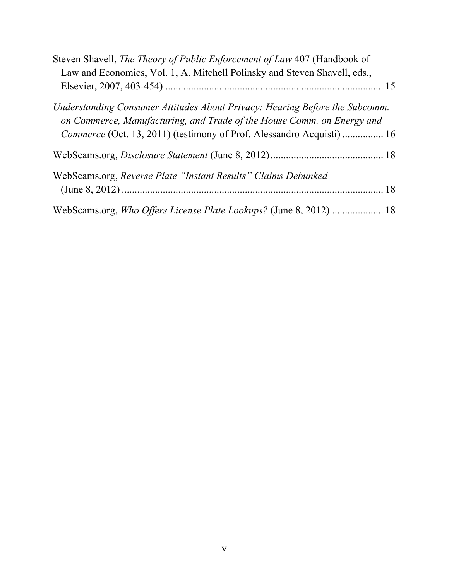| Steven Shavell, The Theory of Public Enforcement of Law 407 (Handbook of<br>Law and Economics, Vol. 1, A. Mitchell Polinsky and Steven Shavell, eds.,                                                                          |  |
|--------------------------------------------------------------------------------------------------------------------------------------------------------------------------------------------------------------------------------|--|
|                                                                                                                                                                                                                                |  |
| Understanding Consumer Attitudes About Privacy: Hearing Before the Subcomm.<br>on Commerce, Manufacturing, and Trade of the House Comm. on Energy and<br>Commerce (Oct. 13, 2011) (testimony of Prof. Alessandro Acquisti)  16 |  |
|                                                                                                                                                                                                                                |  |
| WebScams.org, Reverse Plate "Instant Results" Claims Debunked                                                                                                                                                                  |  |
| WebScams.org, Who Offers License Plate Lookups? (June 8, 2012)  18                                                                                                                                                             |  |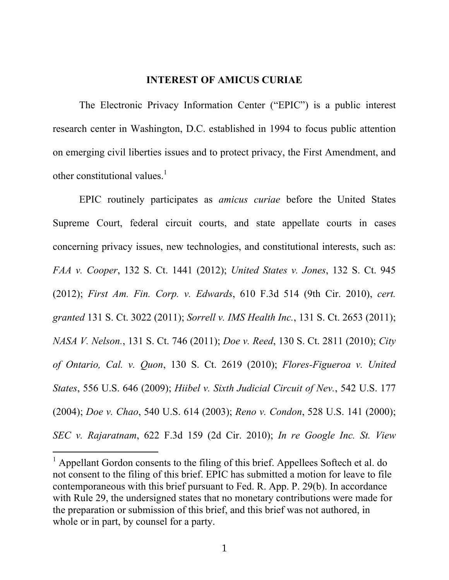#### **INTEREST OF AMICUS CURIAE**

The Electronic Privacy Information Center ("EPIC") is a public interest research center in Washington, D.C. established in 1994 to focus public attention on emerging civil liberties issues and to protect privacy, the First Amendment, and other constitutional values. $\frac{1}{1}$ 

EPIC routinely participates as *amicus curiae* before the United States Supreme Court, federal circuit courts, and state appellate courts in cases concerning privacy issues, new technologies, and constitutional interests, such as: *FAA v. Cooper*, 132 S. Ct. 1441 (2012); *United States v. Jones*, 132 S. Ct. 945 (2012); *First Am. Fin. Corp. v. Edwards*, 610 F.3d 514 (9th Cir. 2010), *cert. granted* 131 S. Ct. 3022 (2011); *Sorrell v. IMS Health Inc.*, 131 S. Ct. 2653 (2011); *NASA V. Nelson.*, 131 S. Ct. 746 (2011); *Doe v. Reed*, 130 S. Ct. 2811 (2010); *City of Ontario, Cal. v. Quon*, 130 S. Ct. 2619 (2010); *Flores-Figueroa v. United States*, 556 U.S. 646 (2009); *Hiibel v. Sixth Judicial Circuit of Nev.*, 542 U.S. 177 (2004); *Doe v. Chao*, 540 U.S. 614 (2003); *Reno v. Condon*, 528 U.S. 141 (2000); *SEC v. Rajaratnam*, 622 F.3d 159 (2d Cir. 2010); *In re Google Inc. St. View* 

 $1$  Appellant Gordon consents to the filing of this brief. Appellees Softech et al. do not consent to the filing of this brief. EPIC has submitted a motion for leave to file contemporaneous with this brief pursuant to Fed. R. App. P. 29(b). In accordance with Rule 29, the undersigned states that no monetary contributions were made for the preparation or submission of this brief, and this brief was not authored, in whole or in part, by counsel for a party.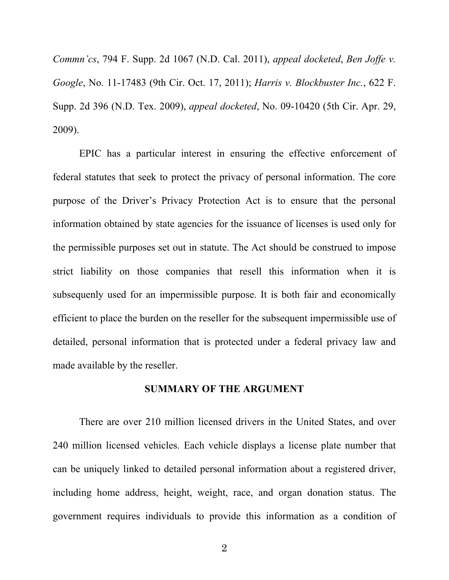*Commn'cs*, 794 F. Supp. 2d 1067 (N.D. Cal. 2011), *appeal docketed*, *Ben Joffe v. Google*, No. 11-17483 (9th Cir. Oct. 17, 2011); *Harris v. Blockbuster Inc.*, 622 F. Supp. 2d 396 (N.D. Tex. 2009), *appeal docketed*, No. 09-10420 (5th Cir. Apr. 29, 2009).

EPIC has a particular interest in ensuring the effective enforcement of federal statutes that seek to protect the privacy of personal information. The core purpose of the Driver's Privacy Protection Act is to ensure that the personal information obtained by state agencies for the issuance of licenses is used only for the permissible purposes set out in statute. The Act should be construed to impose strict liability on those companies that resell this information when it is subsequenly used for an impermissible purpose. It is both fair and economically efficient to place the burden on the reseller for the subsequent impermissible use of detailed, personal information that is protected under a federal privacy law and made available by the reseller.

#### **SUMMARY OF THE ARGUMENT**

There are over 210 million licensed drivers in the United States, and over 240 million licensed vehicles. Each vehicle displays a license plate number that can be uniquely linked to detailed personal information about a registered driver, including home address, height, weight, race, and organ donation status. The government requires individuals to provide this information as a condition of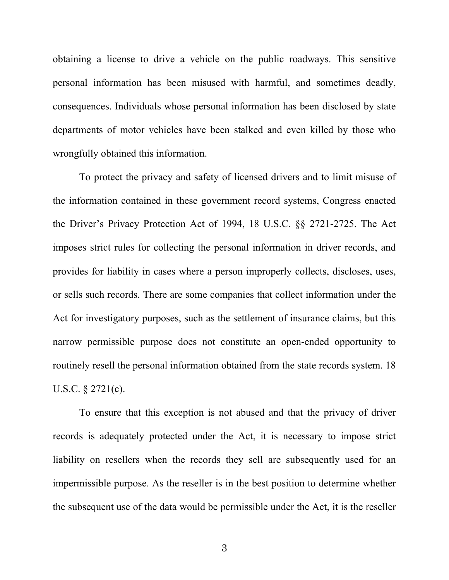obtaining a license to drive a vehicle on the public roadways. This sensitive personal information has been misused with harmful, and sometimes deadly, consequences. Individuals whose personal information has been disclosed by state departments of motor vehicles have been stalked and even killed by those who wrongfully obtained this information.

To protect the privacy and safety of licensed drivers and to limit misuse of the information contained in these government record systems, Congress enacted the Driver's Privacy Protection Act of 1994, 18 U.S.C. §§ 2721-2725. The Act imposes strict rules for collecting the personal information in driver records, and provides for liability in cases where a person improperly collects, discloses, uses, or sells such records. There are some companies that collect information under the Act for investigatory purposes, such as the settlement of insurance claims, but this narrow permissible purpose does not constitute an open-ended opportunity to routinely resell the personal information obtained from the state records system. 18 U.S.C. § 2721(c).

To ensure that this exception is not abused and that the privacy of driver records is adequately protected under the Act, it is necessary to impose strict liability on resellers when the records they sell are subsequently used for an impermissible purpose. As the reseller is in the best position to determine whether the subsequent use of the data would be permissible under the Act, it is the reseller

3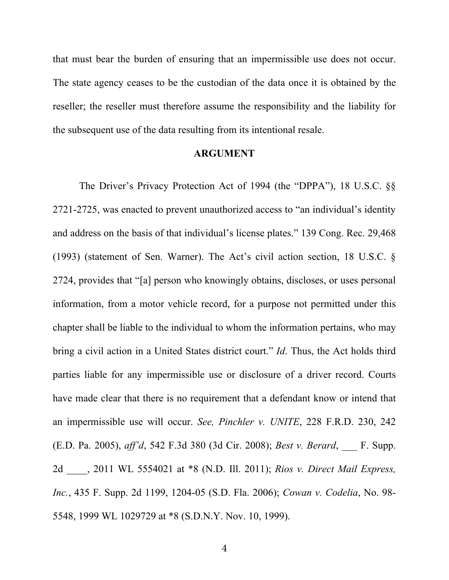that must bear the burden of ensuring that an impermissible use does not occur. The state agency ceases to be the custodian of the data once it is obtained by the reseller; the reseller must therefore assume the responsibility and the liability for the subsequent use of the data resulting from its intentional resale.

#### **ARGUMENT**

The Driver's Privacy Protection Act of 1994 (the "DPPA"), 18 U.S.C. §§ 2721-2725, was enacted to prevent unauthorized access to "an individual's identity and address on the basis of that individual's license plates." 139 Cong. Rec. 29,468 (1993) (statement of Sen. Warner). The Act's civil action section, 18 U.S.C. § 2724, provides that "[a] person who knowingly obtains, discloses, or uses personal information, from a motor vehicle record, for a purpose not permitted under this chapter shall be liable to the individual to whom the information pertains, who may bring a civil action in a United States district court." *Id*. Thus, the Act holds third parties liable for any impermissible use or disclosure of a driver record. Courts have made clear that there is no requirement that a defendant know or intend that an impermissible use will occur. *See, Pinchler v. UNITE*, 228 F.R.D. 230, 242 (E.D. Pa. 2005), *aff'd*, 542 F.3d 380 (3d Cir. 2008); *Best v. Berard*, \_\_\_ F. Supp. 2d \_\_\_\_, 2011 WL 5554021 at \*8 (N.D. Ill. 2011); *Rios v. Direct Mail Express, Inc.*, 435 F. Supp. 2d 1199, 1204-05 (S.D. Fla. 2006); *Cowan v. Codelia*, No. 98- 5548, 1999 WL 1029729 at \*8 (S.D.N.Y. Nov. 10, 1999).

4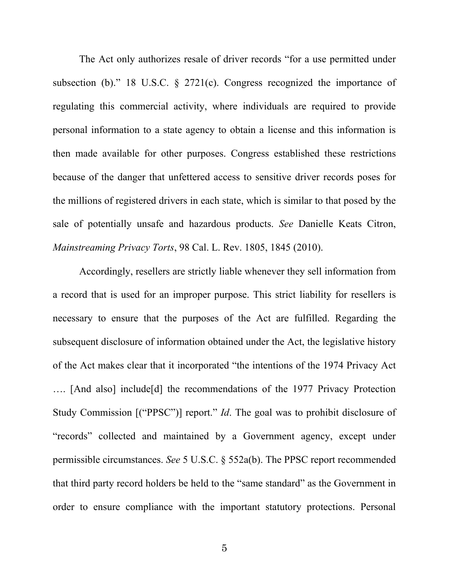The Act only authorizes resale of driver records "for a use permitted under subsection (b)." 18 U.S.C. § 2721(c). Congress recognized the importance of regulating this commercial activity, where individuals are required to provide personal information to a state agency to obtain a license and this information is then made available for other purposes. Congress established these restrictions because of the danger that unfettered access to sensitive driver records poses for the millions of registered drivers in each state, which is similar to that posed by the sale of potentially unsafe and hazardous products. *See* Danielle Keats Citron, *Mainstreaming Privacy Torts*, 98 Cal. L. Rev. 1805, 1845 (2010).

Accordingly, resellers are strictly liable whenever they sell information from a record that is used for an improper purpose. This strict liability for resellers is necessary to ensure that the purposes of the Act are fulfilled. Regarding the subsequent disclosure of information obtained under the Act, the legislative history of the Act makes clear that it incorporated "the intentions of the 1974 Privacy Act …. [And also] include[d] the recommendations of the 1977 Privacy Protection Study Commission [("PPSC")] report." *Id*. The goal was to prohibit disclosure of "records" collected and maintained by a Government agency, except under permissible circumstances. *See* 5 U.S.C. § 552a(b). The PPSC report recommended that third party record holders be held to the "same standard" as the Government in order to ensure compliance with the important statutory protections. Personal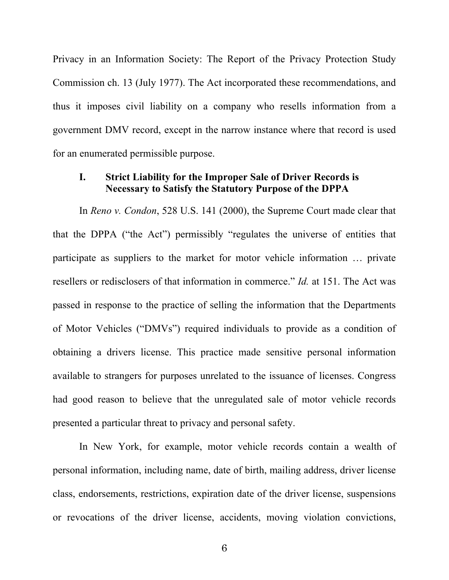Privacy in an Information Society: The Report of the Privacy Protection Study Commission ch. 13 (July 1977). The Act incorporated these recommendations, and thus it imposes civil liability on a company who resells information from a government DMV record, except in the narrow instance where that record is used for an enumerated permissible purpose.

### **I. Strict Liability for the Improper Sale of Driver Records is Necessary to Satisfy the Statutory Purpose of the DPPA**

In *Reno v. Condon*, 528 U.S. 141 (2000), the Supreme Court made clear that that the DPPA ("the Act") permissibly "regulates the universe of entities that participate as suppliers to the market for motor vehicle information … private resellers or redisclosers of that information in commerce." *Id.* at 151. The Act was passed in response to the practice of selling the information that the Departments of Motor Vehicles ("DMVs") required individuals to provide as a condition of obtaining a drivers license. This practice made sensitive personal information available to strangers for purposes unrelated to the issuance of licenses. Congress had good reason to believe that the unregulated sale of motor vehicle records presented a particular threat to privacy and personal safety.

In New York, for example, motor vehicle records contain a wealth of personal information, including name, date of birth, mailing address, driver license class, endorsements, restrictions, expiration date of the driver license, suspensions or revocations of the driver license, accidents, moving violation convictions,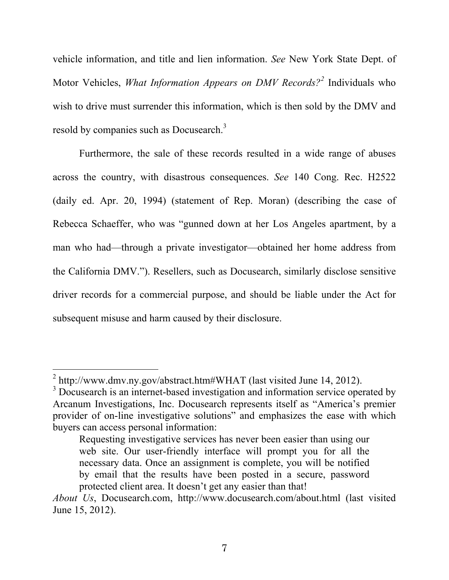vehicle information, and title and lien information. *See* New York State Dept. of Motor Vehicles, *What Information Appears on DMV Records?<sup>2</sup>* Individuals who wish to drive must surrender this information, which is then sold by the DMV and resold by companies such as Docusearch.<sup>3</sup>

Furthermore, the sale of these records resulted in a wide range of abuses across the country, with disastrous consequences. *See* 140 Cong. Rec. H2522 (daily ed. Apr. 20, 1994) (statement of Rep. Moran) (describing the case of Rebecca Schaeffer, who was "gunned down at her Los Angeles apartment, by a man who had—through a private investigator—obtained her home address from the California DMV."). Resellers, such as Docusearch, similarly disclose sensitive driver records for a commercial purpose, and should be liable under the Act for subsequent misuse and harm caused by their disclosure.

 $\frac{1}{2}$  $2$  http://www.dmv.ny.gov/abstract.htm#WHAT (last visited June 14, 2012).

<sup>&</sup>lt;sup>3</sup> Docusearch is an internet-based investigation and information service operated by Arcanum Investigations, Inc. Docusearch represents itself as "America's premier provider of on-line investigative solutions" and emphasizes the ease with which buyers can access personal information:

Requesting investigative services has never been easier than using our web site. Our user-friendly interface will prompt you for all the necessary data. Once an assignment is complete, you will be notified by email that the results have been posted in a secure, password protected client area. It doesn't get any easier than that!

*About Us*, Docusearch.com, http://www.docusearch.com/about.html (last visited June 15, 2012).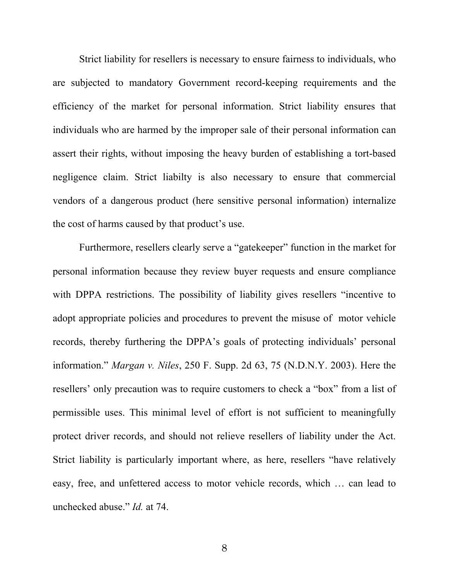Strict liability for resellers is necessary to ensure fairness to individuals, who are subjected to mandatory Government record-keeping requirements and the efficiency of the market for personal information. Strict liability ensures that individuals who are harmed by the improper sale of their personal information can assert their rights, without imposing the heavy burden of establishing a tort-based negligence claim. Strict liabilty is also necessary to ensure that commercial vendors of a dangerous product (here sensitive personal information) internalize the cost of harms caused by that product's use.

Furthermore, resellers clearly serve a "gatekeeper" function in the market for personal information because they review buyer requests and ensure compliance with DPPA restrictions. The possibility of liability gives resellers "incentive to adopt appropriate policies and procedures to prevent the misuse of motor vehicle records, thereby furthering the DPPA's goals of protecting individuals' personal information." *Margan v. Niles*, 250 F. Supp. 2d 63, 75 (N.D.N.Y. 2003). Here the resellers' only precaution was to require customers to check a "box" from a list of permissible uses. This minimal level of effort is not sufficient to meaningfully protect driver records, and should not relieve resellers of liability under the Act. Strict liability is particularly important where, as here, resellers "have relatively easy, free, and unfettered access to motor vehicle records, which … can lead to unchecked abuse." *Id.* at 74.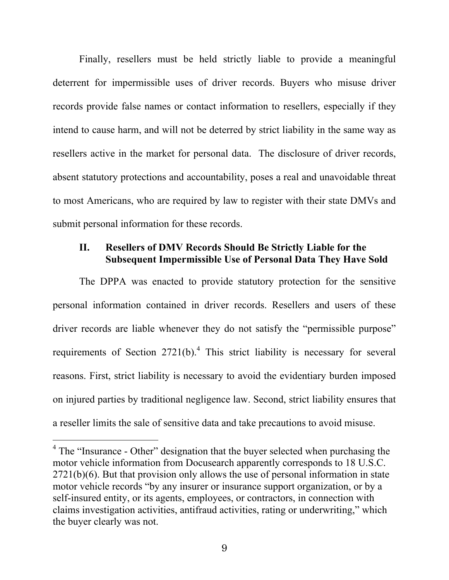Finally, resellers must be held strictly liable to provide a meaningful deterrent for impermissible uses of driver records. Buyers who misuse driver records provide false names or contact information to resellers, especially if they intend to cause harm, and will not be deterred by strict liability in the same way as resellers active in the market for personal data. The disclosure of driver records, absent statutory protections and accountability, poses a real and unavoidable threat to most Americans, who are required by law to register with their state DMVs and submit personal information for these records.

## **II. Resellers of DMV Records Should Be Strictly Liable for the Subsequent Impermissible Use of Personal Data They Have Sold**

The DPPA was enacted to provide statutory protection for the sensitive personal information contained in driver records. Resellers and users of these driver records are liable whenever they do not satisfy the "permissible purpose" requirements of Section  $2721(b)$ .<sup>4</sup> This strict liability is necessary for several reasons. First, strict liability is necessary to avoid the evidentiary burden imposed on injured parties by traditional negligence law. Second, strict liability ensures that a reseller limits the sale of sensitive data and take precautions to avoid misuse.

<sup>&</sup>lt;sup>4</sup> The "Insurance - Other" designation that the buyer selected when purchasing the motor vehicle information from Docusearch apparently corresponds to 18 U.S.C. 2721(b)(6). But that provision only allows the use of personal information in state motor vehicle records "by any insurer or insurance support organization, or by a self-insured entity, or its agents, employees, or contractors, in connection with claims investigation activities, antifraud activities, rating or underwriting," which the buyer clearly was not.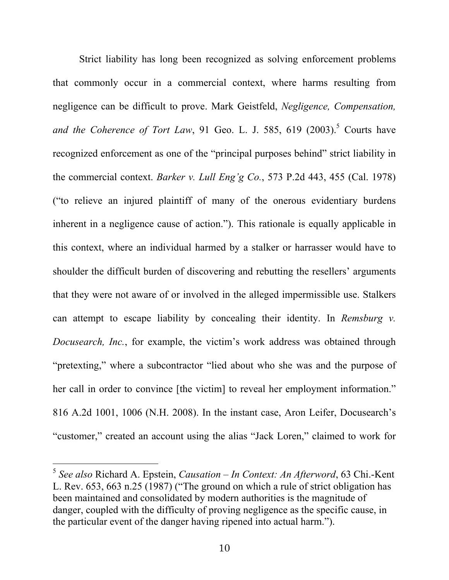Strict liability has long been recognized as solving enforcement problems that commonly occur in a commercial context, where harms resulting from negligence can be difficult to prove. Mark Geistfeld, *Negligence, Compensation,*  and the Coherence of Tort Law, 91 Geo. L. J. 585, 619 (2003).<sup>5</sup> Courts have recognized enforcement as one of the "principal purposes behind" strict liability in the commercial context. *Barker v. Lull Eng'g Co.*, 573 P.2d 443, 455 (Cal. 1978) ("to relieve an injured plaintiff of many of the onerous evidentiary burdens inherent in a negligence cause of action."). This rationale is equally applicable in this context, where an individual harmed by a stalker or harrasser would have to shoulder the difficult burden of discovering and rebutting the resellers' arguments that they were not aware of or involved in the alleged impermissible use. Stalkers can attempt to escape liability by concealing their identity. In *Remsburg v. Docusearch, Inc.*, for example, the victim's work address was obtained through "pretexting," where a subcontractor "lied about who she was and the purpose of her call in order to convince [the victim] to reveal her employment information." 816 A.2d 1001, 1006 (N.H. 2008). In the instant case, Aron Leifer, Docusearch's "customer," created an account using the alias "Jack Loren," claimed to work for

 <sup>5</sup> *See also* Richard A. Epstein, *Causation – In Context: An Afterword*, 63 Chi.-Kent L. Rev. 653, 663 n.25 (1987) ("The ground on which a rule of strict obligation has been maintained and consolidated by modern authorities is the magnitude of danger, coupled with the difficulty of proving negligence as the specific cause, in the particular event of the danger having ripened into actual harm.").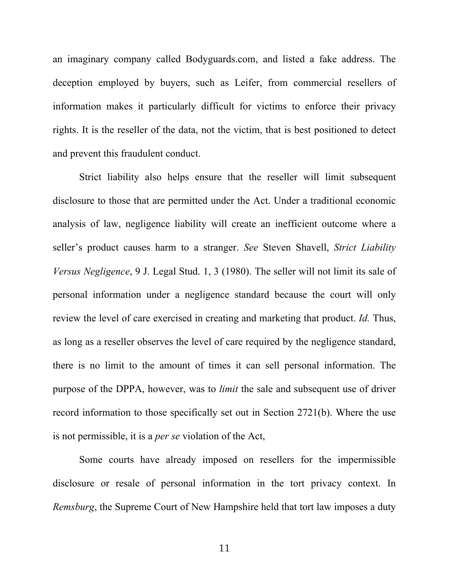an imaginary company called Bodyguards.com, and listed a fake address. The deception employed by buyers, such as Leifer, from commercial resellers of information makes it particularly difficult for victims to enforce their privacy rights. It is the reseller of the data, not the victim, that is best positioned to detect and prevent this fraudulent conduct.

Strict liability also helps ensure that the reseller will limit subsequent disclosure to those that are permitted under the Act. Under a traditional economic analysis of law, negligence liability will create an inefficient outcome where a seller's product causes harm to a stranger. *See* Steven Shavell, *Strict Liability Versus Negligence*, 9 J. Legal Stud. 1, 3 (1980). The seller will not limit its sale of personal information under a negligence standard because the court will only review the level of care exercised in creating and marketing that product. *Id.* Thus, as long as a reseller observes the level of care required by the negligence standard, there is no limit to the amount of times it can sell personal information. The purpose of the DPPA, however, was to *limit* the sale and subsequent use of driver record information to those specifically set out in Section 2721(b). Where the use is not permissible, it is a *per se* violation of the Act,

Some courts have already imposed on resellers for the impermissible disclosure or resale of personal information in the tort privacy context. In *Remsburg*, the Supreme Court of New Hampshire held that tort law imposes a duty

11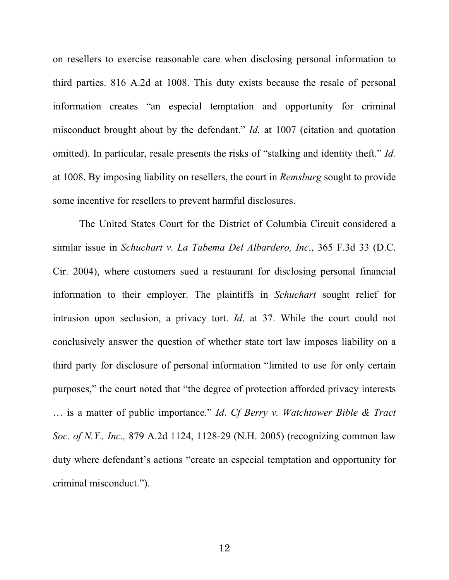on resellers to exercise reasonable care when disclosing personal information to third parties. 816 A.2d at 1008. This duty exists because the resale of personal information creates "an especial temptation and opportunity for criminal misconduct brought about by the defendant." *Id.* at 1007 (citation and quotation omitted). In particular, resale presents the risks of "stalking and identity theft." *Id.*  at 1008. By imposing liability on resellers, the court in *Remsburg* sought to provide some incentive for resellers to prevent harmful disclosures.

The United States Court for the District of Columbia Circuit considered a similar issue in *Schuchart v. La Tabema Del Albardero, Inc.*, 365 F.3d 33 (D.C. Cir. 2004), where customers sued a restaurant for disclosing personal financial information to their employer. The plaintiffs in *Schuchart* sought relief for intrusion upon seclusion, a privacy tort. *Id*. at 37. While the court could not conclusively answer the question of whether state tort law imposes liability on a third party for disclosure of personal information "limited to use for only certain purposes," the court noted that "the degree of protection afforded privacy interests … is a matter of public importance." *Id*. *Cf Berry v. Watchtower Bible & Tract Soc. of N.Y., Inc.,* 879 A.2d 1124, 1128-29 (N.H. 2005) (recognizing common law duty where defendant's actions "create an especial temptation and opportunity for criminal misconduct.").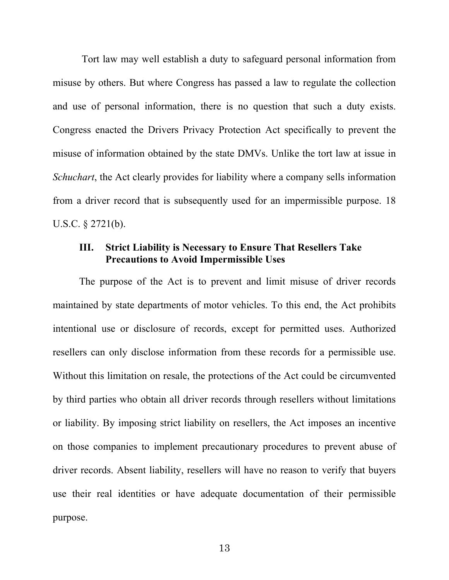Tort law may well establish a duty to safeguard personal information from misuse by others. But where Congress has passed a law to regulate the collection and use of personal information, there is no question that such a duty exists. Congress enacted the Drivers Privacy Protection Act specifically to prevent the misuse of information obtained by the state DMVs. Unlike the tort law at issue in *Schuchart*, the Act clearly provides for liability where a company sells information from a driver record that is subsequently used for an impermissible purpose. 18 U.S.C. § 2721(b).

## **III. Strict Liability is Necessary to Ensure That Resellers Take Precautions to Avoid Impermissible Uses**

The purpose of the Act is to prevent and limit misuse of driver records maintained by state departments of motor vehicles. To this end, the Act prohibits intentional use or disclosure of records, except for permitted uses. Authorized resellers can only disclose information from these records for a permissible use. Without this limitation on resale, the protections of the Act could be circumvented by third parties who obtain all driver records through resellers without limitations or liability. By imposing strict liability on resellers, the Act imposes an incentive on those companies to implement precautionary procedures to prevent abuse of driver records. Absent liability, resellers will have no reason to verify that buyers use their real identities or have adequate documentation of their permissible purpose.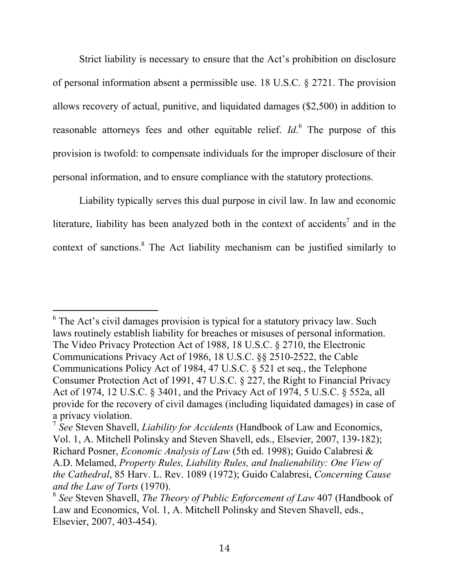Strict liability is necessary to ensure that the Act's prohibition on disclosure of personal information absent a permissible use. 18 U.S.C. § 2721. The provision allows recovery of actual, punitive, and liquidated damages (\$2,500) in addition to reasonable attorneys fees and other equitable relief. *Id*. 6 The purpose of this provision is twofold: to compensate individuals for the improper disclosure of their personal information, and to ensure compliance with the statutory protections.

Liability typically serves this dual purpose in civil law. In law and economic literature, liability has been analyzed both in the context of accidents<sup>7</sup> and in the context of sanctions. $8$  The Act liability mechanism can be justified similarly to

 $6$  The Act's civil damages provision is typical for a statutory privacy law. Such laws routinely establish liability for breaches or misuses of personal information. The Video Privacy Protection Act of 1988, 18 U.S.C. § 2710, the Electronic Communications Privacy Act of 1986, 18 U.S.C. §§ 2510-2522, the Cable Communications Policy Act of 1984, 47 U.S.C. § 521 et seq., the Telephone Consumer Protection Act of 1991, 47 U.S.C. § 227, the Right to Financial Privacy Act of 1974, 12 U.S.C. § 3401, and the Privacy Act of 1974, 5 U.S.C. § 552a, all provide for the recovery of civil damages (including liquidated damages) in case of a privacy violation.

<sup>7</sup> *See* Steven Shavell, *Liability for Accidents* (Handbook of Law and Economics, Vol. 1, A. Mitchell Polinsky and Steven Shavell, eds., Elsevier, 2007, 139-182); Richard Posner, *Economic Analysis of Law* (5th ed. 1998); Guido Calabresi & A.D. Melamed, *Property Rules, Liability Rules, and Inalienability: One View of the Cathedral*, 85 Harv. L. Rev. 1089 (1972); Guido Calabresi, *Concerning Cause and the Law of Torts* (1970).<br><sup>8</sup> *See Steven Shavell, The Theory of Public Enforcement of Law* 407 (Handbook of

Law and Economics, Vol. 1, A. Mitchell Polinsky and Steven Shavell, eds., Elsevier, 2007, 403-454).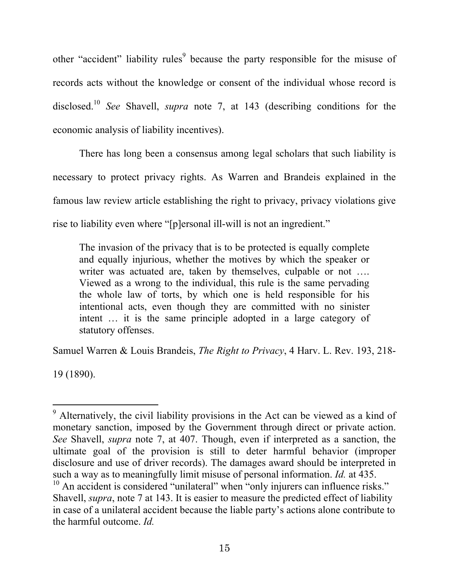other "accident" liability rules<sup>9</sup> because the party responsible for the misuse of records acts without the knowledge or consent of the individual whose record is disclosed.<sup>10</sup> *See* Shavell, *supra* note 7, at 143 (describing conditions for the economic analysis of liability incentives).

There has long been a consensus among legal scholars that such liability is necessary to protect privacy rights. As Warren and Brandeis explained in the famous law review article establishing the right to privacy, privacy violations give rise to liability even where "[p]ersonal ill-will is not an ingredient."

The invasion of the privacy that is to be protected is equally complete and equally injurious, whether the motives by which the speaker or writer was actuated are, taken by themselves, culpable or not .... Viewed as a wrong to the individual, this rule is the same pervading the whole law of torts, by which one is held responsible for his intentional acts, even though they are committed with no sinister intent … it is the same principle adopted in a large category of statutory offenses.

Samuel Warren & Louis Brandeis, *The Right to Privacy*, 4 Harv. L. Rev. 193, 218-

19 (1890).

 <sup>9</sup> Alternatively, the civil liability provisions in the Act can be viewed as a kind of monetary sanction, imposed by the Government through direct or private action. *See* Shavell, *supra* note 7, at 407. Though, even if interpreted as a sanction, the ultimate goal of the provision is still to deter harmful behavior (improper disclosure and use of driver records). The damages award should be interpreted in such a way as to meaningfully limit misuse of personal information. *Id.* at 435.<br><sup>10</sup> An accident is considered "unilateral" when "only injurers can influence risks." Shavell, *supra*, note 7 at 143. It is easier to measure the predicted effect of liability in case of a unilateral accident because the liable party's actions alone contribute to the harmful outcome. *Id.*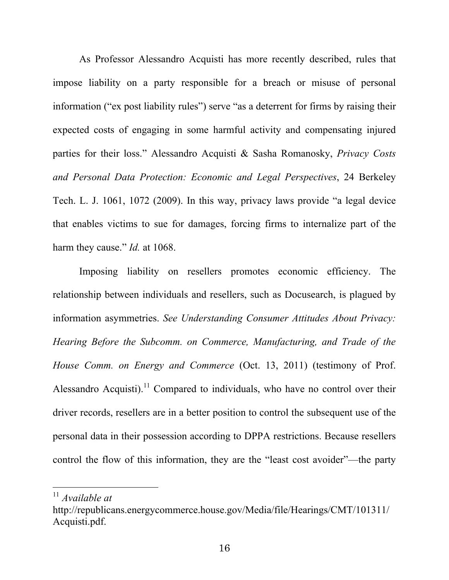As Professor Alessandro Acquisti has more recently described, rules that impose liability on a party responsible for a breach or misuse of personal information ("ex post liability rules") serve "as a deterrent for firms by raising their expected costs of engaging in some harmful activity and compensating injured parties for their loss." Alessandro Acquisti & Sasha Romanosky, *Privacy Costs and Personal Data Protection: Economic and Legal Perspectives*, 24 Berkeley Tech. L. J. 1061, 1072 (2009). In this way, privacy laws provide "a legal device that enables victims to sue for damages, forcing firms to internalize part of the harm they cause." *Id.* at 1068.

Imposing liability on resellers promotes economic efficiency. The relationship between individuals and resellers, such as Docusearch, is plagued by information asymmetries. *See Understanding Consumer Attitudes About Privacy: Hearing Before the Subcomm. on Commerce, Manufacturing, and Trade of the House Comm. on Energy and Commerce* (Oct. 13, 2011) (testimony of Prof. Alessandro Acquisti).<sup>11</sup> Compared to individuals, who have no control over their driver records, resellers are in a better position to control the subsequent use of the personal data in their possession according to DPPA restrictions. Because resellers control the flow of this information, they are the "least cost avoider"—the party

 <sup>11</sup> *Available at*

http://republicans.energycommerce.house.gov/Media/file/Hearings/CMT/101311/ Acquisti.pdf.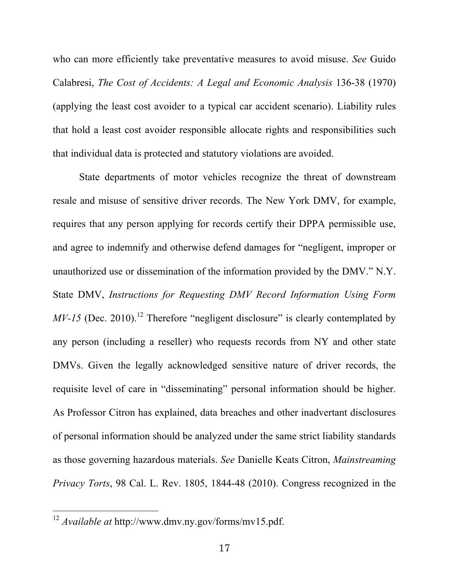who can more efficiently take preventative measures to avoid misuse. *See* Guido Calabresi, *The Cost of Accidents: A Legal and Economic Analysis* 136-38 (1970) (applying the least cost avoider to a typical car accident scenario). Liability rules that hold a least cost avoider responsible allocate rights and responsibilities such that individual data is protected and statutory violations are avoided.

State departments of motor vehicles recognize the threat of downstream resale and misuse of sensitive driver records. The New York DMV, for example, requires that any person applying for records certify their DPPA permissible use, and agree to indemnify and otherwise defend damages for "negligent, improper or unauthorized use or dissemination of the information provided by the DMV." N.Y. State DMV, *Instructions for Requesting DMV Record Information Using Form MV-15* (Dec. 2010).<sup>12</sup> Therefore "negligent disclosure" is clearly contemplated by any person (including a reseller) who requests records from NY and other state DMVs. Given the legally acknowledged sensitive nature of driver records, the requisite level of care in "disseminating" personal information should be higher. As Professor Citron has explained, data breaches and other inadvertant disclosures of personal information should be analyzed under the same strict liability standards as those governing hazardous materials. *See* Danielle Keats Citron, *Mainstreaming Privacy Torts*, 98 Cal. L. Rev. 1805, 1844-48 (2010). Congress recognized in the

 <sup>12</sup> *Available at* http://www.dmv.ny.gov/forms/mv15.pdf.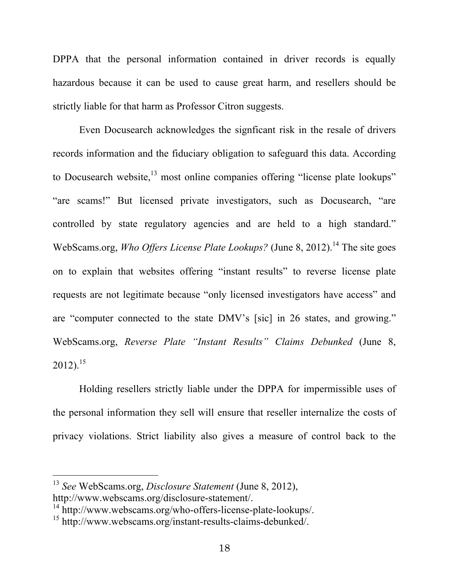DPPA that the personal information contained in driver records is equally hazardous because it can be used to cause great harm, and resellers should be strictly liable for that harm as Professor Citron suggests.

Even Docusearch acknowledges the signficant risk in the resale of drivers records information and the fiduciary obligation to safeguard this data. According to Docusearch website, $^{13}$  most online companies offering "license plate lookups" "are scams!" But licensed private investigators, such as Docusearch, "are controlled by state regulatory agencies and are held to a high standard." WebScams.org, *Who Offers License Plate Lookups?* (June 8, 2012).<sup>14</sup> The site goes on to explain that websites offering "instant results" to reverse license plate requests are not legitimate because "only licensed investigators have access" and are "computer connected to the state DMV's [sic] in 26 states, and growing." WebScams.org, *Reverse Plate "Instant Results" Claims Debunked* (June 8,  $2012$ ).<sup>15</sup>

Holding resellers strictly liable under the DPPA for impermissible uses of the personal information they sell will ensure that reseller internalize the costs of privacy violations. Strict liability also gives a measure of control back to the

 <sup>13</sup> *See* WebScams.org, *Disclosure Statement* (June 8, 2012), http://www.webscams.org/disclosure-statement/.

<sup>&</sup>lt;sup>14</sup> http://www.webscams.org/who-offers-license-plate-lookups/.

<sup>15</sup> http://www.webscams.org/instant-results-claims-debunked/.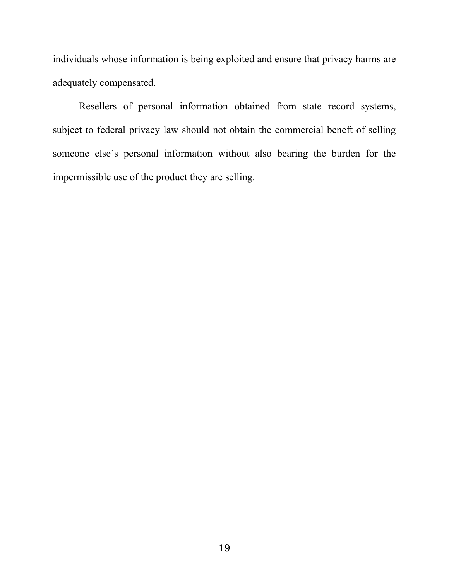individuals whose information is being exploited and ensure that privacy harms are adequately compensated.

Resellers of personal information obtained from state record systems, subject to federal privacy law should not obtain the commercial beneft of selling someone else's personal information without also bearing the burden for the impermissible use of the product they are selling.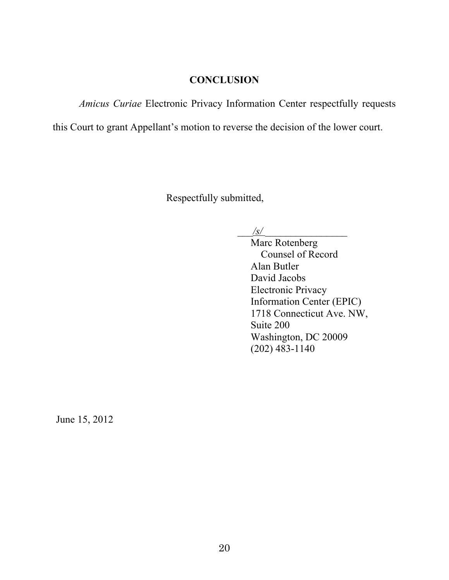# **CONCLUSION**

*Amicus Curiae* Electronic Privacy Information Center respectfully requests

this Court to grant Appellant's motion to reverse the decision of the lower court.

Respectfully submitted,

 $/s/$ 

Marc Rotenberg Counsel of Record Alan Butler David Jacobs Electronic Privacy Information Center (EPIC) 1718 Connecticut Ave. NW, Suite 200 Washington, DC 20009 (202) 483-1140

June 15, 2012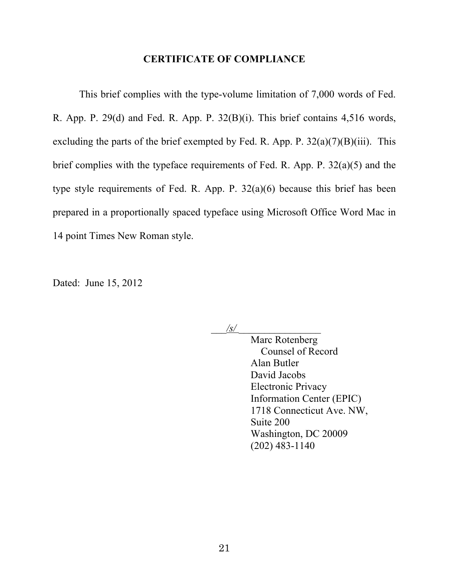#### **CERTIFICATE OF COMPLIANCE**

This brief complies with the type-volume limitation of 7,000 words of Fed. R. App. P. 29(d) and Fed. R. App. P. 32(B)(i). This brief contains 4,516 words, excluding the parts of the brief exempted by Fed. R. App. P.  $32(a)(7)(B)(iii)$ . This brief complies with the typeface requirements of Fed. R. App. P. 32(a)(5) and the type style requirements of Fed. R. App. P. 32(a)(6) because this brief has been prepared in a proportionally spaced typeface using Microsoft Office Word Mac in 14 point Times New Roman style.

Dated: June 15, 2012

 $\frac{1}{s}$ 

Marc Rotenberg Counsel of Record Alan Butler David Jacobs Electronic Privacy Information Center (EPIC) 1718 Connecticut Ave. NW, Suite 200 Washington, DC 20009 (202) 483-1140